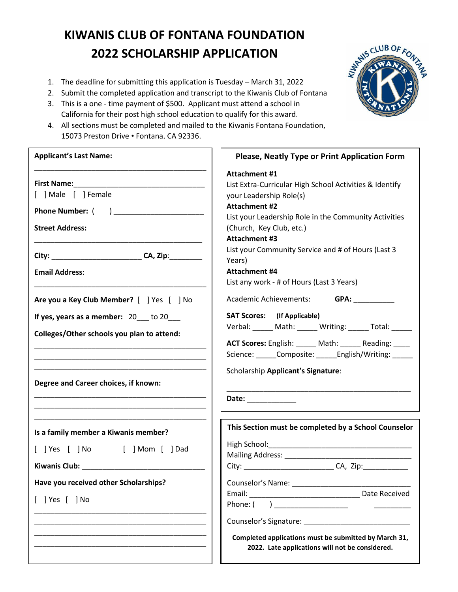## **KIWANIS CLUB OF FONTANA FOUNDATION 2022 SCHOLARSHIP APPLICATION**

- 1. The deadline for submitting this application is Tuesday March 31, 2022
- 2. Submit the completed application and transcript to the Kiwanis Club of Fontana
- 3. This is a one time payment of \$500. Applicant must attend a school in California for their post high school education to qualify for this award.
- 4. All sections must be completed and mailed to the Kiwanis Fontana Foundation, 15073 Preston Drive • Fontana, CA 92336.

| <b>Applicant's Last Name:</b>                                                           | <b>Please, Neatly Type or Print Application Form</b>                                                                                                                                                                                     |
|-----------------------------------------------------------------------------------------|------------------------------------------------------------------------------------------------------------------------------------------------------------------------------------------------------------------------------------------|
| [ ] Male [ ] Female<br><b>Street Address:</b>                                           | Attachment #1<br>List Extra-Curricular High School Activities & Identify<br>your Leadership Role(s)<br><b>Attachment #2</b><br>List your Leadership Role in the Community Activities<br>(Church, Key Club, etc.)<br><b>Attachment #3</b> |
| City: __________________________________CA, Zip:___________                             | List your Community Service and # of Hours (Last 3                                                                                                                                                                                       |
| <b>Email Address:</b>                                                                   | Years)<br><b>Attachment #4</b><br>List any work - # of Hours (Last 3 Years)                                                                                                                                                              |
| Are you a Key Club Member? [ ] Yes [ ] No                                               | Academic Achievements: GPA:                                                                                                                                                                                                              |
| If yes, years as a member: 20 __ to 20 __<br>Colleges/Other schools you plan to attend: | <b>SAT Scores:</b> (If Applicable)<br>Verbal: _____ Math: _____ Writing: _____ Total: _____                                                                                                                                              |
| Degree and Career choices, if known:                                                    | ACT Scores: English: _____ Math: _____ Reading: ____<br>Science: ______Composite: ______English/Writing: ______<br>Scholarship Applicant's Signature:<br>Date: $\qquad \qquad$                                                           |
| Is a family member a Kiwanis member?<br>[ ] Yes [ ] No [ ] Mom [ ] Dad                  | This Section must be completed by a School Counselor                                                                                                                                                                                     |
| Have you received other Scholarships?                                                   | Counselor's Name: ______________                                                                                                                                                                                                         |
| $[$ ] Yes $[$ ] No                                                                      |                                                                                                                                                                                                                                          |
|                                                                                         | Completed applications must be submitted by March 31,<br>2022. Late applications will not be considered.                                                                                                                                 |